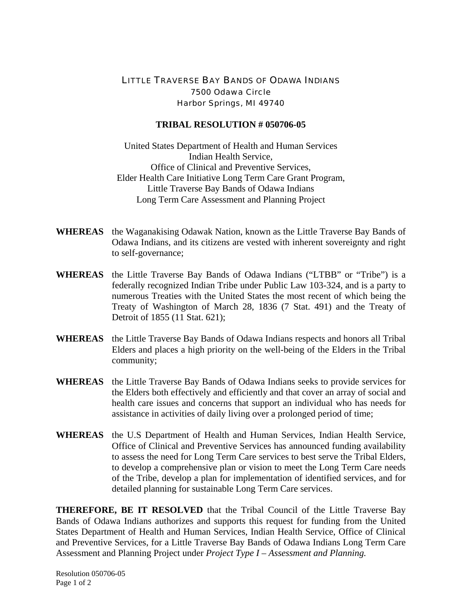## LITTLE TRAVERSE BAY BANDS OF ODAWA INDIANS 7500 Odawa Circle Harbor Springs, MI 49740

## **TRIBAL RESOLUTION # 050706-05**

United States Department of Health and Human Services Indian Health Service, Office of Clinical and Preventive Services, Elder Health Care Initiative Long Term Care Grant Program, Little Traverse Bay Bands of Odawa Indians Long Term Care Assessment and Planning Project

- **WHEREAS** the Waganakising Odawak Nation, known as the Little Traverse Bay Bands of Odawa Indians, and its citizens are vested with inherent sovereignty and right to self-governance;
- **WHEREAS** the Little Traverse Bay Bands of Odawa Indians ("LTBB" or "Tribe") is a federally recognized Indian Tribe under Public Law 103-324, and is a party to numerous Treaties with the United States the most recent of which being the Treaty of Washington of March 28, 1836 (7 Stat. 491) and the Treaty of Detroit of 1855 (11 Stat. 621);
- **WHEREAS** the Little Traverse Bay Bands of Odawa Indians respects and honors all Tribal Elders and places a high priority on the well-being of the Elders in the Tribal community;
- **WHEREAS** the Little Traverse Bay Bands of Odawa Indians seeks to provide services for the Elders both effectively and efficiently and that cover an array of social and health care issues and concerns that support an individual who has needs for assistance in activities of daily living over a prolonged period of time;
- **WHEREAS** the U.S Department of Health and Human Services, Indian Health Service, Office of Clinical and Preventive Services has announced funding availability to assess the need for Long Term Care services to best serve the Tribal Elders, to develop a comprehensive plan or vision to meet the Long Term Care needs of the Tribe, develop a plan for implementation of identified services, and for detailed planning for sustainable Long Term Care services.

**THEREFORE, BE IT RESOLVED** that the Tribal Council of the Little Traverse Bay Bands of Odawa Indians authorizes and supports this request for funding from the United States Department of Health and Human Services, Indian Health Service, Office of Clinical and Preventive Services, for a Little Traverse Bay Bands of Odawa Indians Long Term Care Assessment and Planning Project under *Project Type I – Assessment and Planning.*